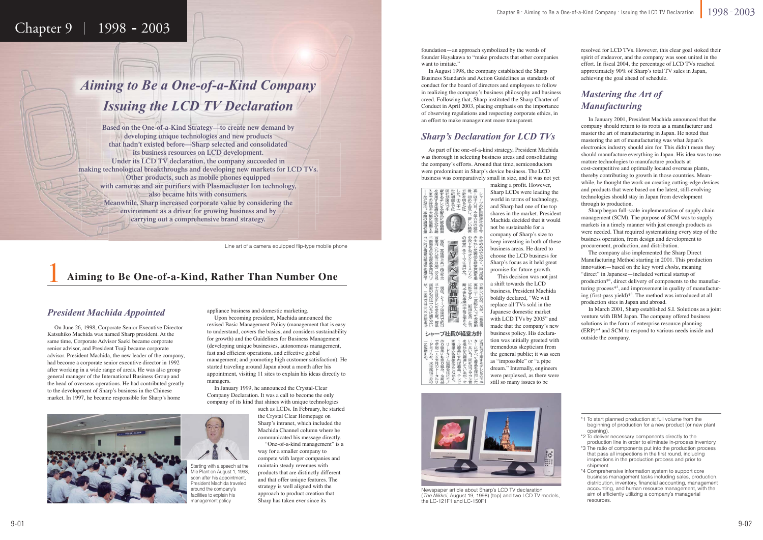## Chapter  $9 \mid 1998 - 2003$

### 1**Aiming to Be One-of-a-Kind, Rather Than Number One**

### *President Machida Appointed*



Newspaper article about Sharp's LCD TV declaration (The Nikkei, August 19, 1998) (top) and two LCD TV models, the LC-121F1 and LC-150F1



### *Sharp's Declaration for LCD TVs*

### *Mastering the Art of Manufacturing*

foundation—an approach symbolized by the words of founder Hayakawa to "make products that other companies want to imitate."

 In August 1998, the company established the Sharp Business Standards and Action Guidelines as standards of conduct for the board of directors and employees to follow in realizing the company's business philosophy and business creed. Following that, Sharp instituted the Sharp Charter of Conduct in April 2003, placing emphasis on the importance of observing regulations and respecting corporate ethics, in an effort to make management more transparent.

resolved for LCD TVs. However, this clear goal stoked their spirit of endeavor, and the company was soon united in the effort. In fiscal 2004, the percentage of LCD TVs reached approximately 90% of Sharp's total TV sales in Japan, achieving the goal ahead of schedule.

Line art of a camera-equipped flip-type mobile phone Line art of <sup>a</sup> camera equipp

 In January 2001, President Machida announced that the company should return to its roots as a manufacturer and master the art of manufacturing in Japan. He noted that mastering the art of manufacturing was what Japan's electronics industry should aim for. This didn't mean they should manufacture everything in Japan. His idea was to use mature technologies to manufacture products at cost-competitive and optimally located overseas plants, thereby contributing to growth in those countries. Meanwhile, he thought the work on creating cutting-edge devices and products that were based on the latest, still-evolving technologies should stay in Japan from development through to production.

 Sharp began full-scale implementation of supply chain management (SCM). The purpose of SCM was to supply markets in a timely manner with just enough products as were needed. That required systematizing every step of the business operation, from design and development to procurement, production, and distribution.

 The company also implemented the Sharp Direct Manufacturing Method starting in 2001. This production innovation—based on the key word *choku*, meaning "direct" in Japanese—included vertical startup of production\*1, direct delivery of components to the manufacturing process\*2, and improvement in quality of manufacturing (first-pass yield)\*3. The method was introduced at all production sites in Japan and abroad.

 In March 2001, Sharp established S.I. Solutions as a joint venture with IBM Japan. The company offered business solutions in the form of enterprise resource planning (ERP)\*4 and SCM to respond to various needs inside and outside the company.

# *Aiming to Be a One-of-a-Kind Company Issuing the LCD TV Declaration Issuing the LCD TV Declaratio Issuin g n*

**Based on the One-of-a-Kind Strategy—to create new demand by developing unique technologies and new products that hadn't existed before—Sharp selected and consolidated its business resources on LCD development. Under its LCD TV declaration, the company succeeded in making technological breakthroughs and developing new markets for LCD TVs. Other products, such as mobile phones equipped with cameras and air purifiers with Plasmacluster Ion technology, also became hits with consumers. Meanwhile, Sharp increased corporate value by considering the environment as a driver for growing business and by carrying out a comprehensive brand strategy.**

 On June 26, 1998, Corporate Senior Executive Director Katsuhiko Machida was named Sharp president. At the same time, Corporate Advisor Saeki became corporate senior advisor, and President Tsuji became corporate advisor. President Machida, the new leader of the company, had become a corporate senior executive director in 1992 after working in a wide range of areas. He was also group general manager of the International Business Group and the head of overseas operations. He had contributed greatly to the development of Sharp's business in the Chinese market. In 1997, he became responsible for Sharp's home

> Starting with a speech at the Mie Plant on August 1, 1998, soon after his appointment, President Machida traveled around the company's facilities to explain his management policy



 Upon becoming president, Machida announced the revised Basic Management Policy (management that is easy to understand, covers the basics, and considers sustainability for growth) and the Guidelines for Business Management (developing unique businesses, autonomous management, fast and efficient operations, and effective global management; and promoting high customer satisfaction). He started traveling around Japan about a month after his appointment, visiting 11 sites to explain his ideas directly to managers.

 In January 1999, he announced the Crystal-Clear Company Declaration. It was a call to become the only company of its kind that shines with unique technologies

such as LCDs. In February, he started the Crystal Clear Homepage on Sharp's intranet, which included the Machida Channel column where he communicated his message directly.

 "One-of-a-kind management" is a way for a smaller company to compete with larger companies and maintain steady revenues with products that are distinctly different and that offer unique features. The strategy is well aligned with the approach to product creation that Sharp has taken ever since its

 As part of the one-of-a-kind strategy, President Machida was thorough in selecting business areas and consolidating the company's efforts. Around that time, semiconductors were predominant in Sharp's device business. The LCD business was comparatively small in size, and it was not yet



画 面  $\overline{1}$ 

シャープ社長が経営方針

making a profit. However, Sharp LCDs were leading the world in terms of technology, and Sharp had one of the top shares in the market. President Machida decided that it would not be sustainable for a company of Sharp's size to keep investing in both of these business areas. He dared to choose the LCD business for Sharp's focus as it held great promise for future growth. This decision was not just

a shift towards the LCD business. President Machida boldly declared, "We will replace all TVs sold in the Japanese domestic market with LCD TVs by 2005" and made that the company's new business policy. His declaration was initially greeted with tremendous skepticism from the general public; it was seen as "impossible" or "a pipe dream." Internally, engineers were perplexed, as there were still so many issues to be

<sup>\*1</sup> To start planned production at full volume from the beginning of production for a new product (or new plant opening).

<sup>\*2</sup> To deliver necessary components directly to the production line in order to eliminate in-process inventory.

<sup>\*3</sup> The ratio of components put into the production process that pass all inspections in the first round, including inspections in the production process and prior to shipment.

<sup>\*4</sup> Comprehensive information system to support core business management tasks including sales, production, distribution, inventory, financial accounting, management accounting, and human resource management, with the aim of efficiently utilizing a company's managerial resources.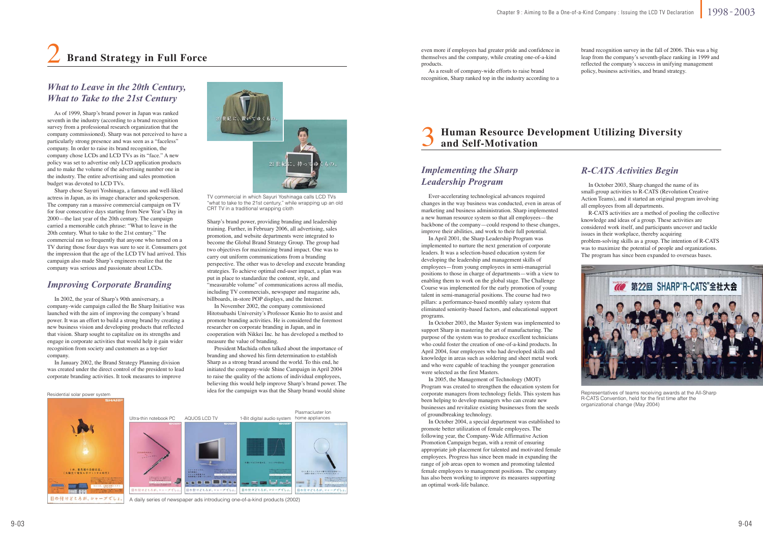As of 1999, Sharp's brand power in Japan was ranked seventh in the industry (according to a brand recognition survey from a professional research organization that the company commissioned). Sharp was not perceived to have a particularly strong presence and was seen as a "faceless" company. In order to raise its brand recognition, the company chose LCDs and LCD TVs as its "face." A new policy was set to advertise only LCD application products and to make the volume of the advertising number one in the industry. The entire advertising and sales promotion budget was devoted to LCD TVs.

> TV commercial in which Sayuri Yoshinaga calls LCD TVs "what to take to the 21st century," while wrapping up an old CRT TV in a traditional wrapping cloth

 Sharp chose Sayuri Yoshinaga, a famous and well-liked actress in Japan, as its image character and spokesperson. The company ran a massive commercial campaign on TV for four consecutive days starting from New Year's Day in 2000—the last year of the 20th century. The campaign carried a memorable catch phrase: "What to leave in the 20th century. What to take to the 21st century." The commercial ran so frequently that anyone who turned on a TV during those four days was sure to see it. Consumers got the impression that the age of the LCD TV had arrived. This campaign also made Sharp's engineers realize that the company was serious and passionate about LCDs.

### *What to Leave in the 20th Century, What to Take to the 21st Century*

### *Improving Corporate Branding*

A daily series of newspaper ads introducing one-of-a-kind products (2002)

### 2**Brand Strategy in Full Force**

 In 2002, the year of Sharp's 90th anniversary, a company-wide campaign called the Be Sharp Initiative was launched with the aim of improving the company's brand power. It was an effort to build a strong brand by creating a new business vision and developing products that reflected that vision. Sharp sought to capitalize on its strengths and engage in corporate activities that would help it gain wider recognition from society and customers as a top-tier company.

 In January 2002, the Brand Strategy Planning division was created under the direct control of the president to lead corporate branding activities. It took measures to improve

Sharp's brand power, providing branding and leadership training. Further, in February 2006, all advertising, sales promotion, and website departments were integrated to become the Global Brand Strategy Group. The group had two objectives for maximizing brand impact. One was to carry out uniform communications from a branding perspective. The other was to develop and execute branding strategies. To achieve optimal end-user impact, a plan was put in place to standardize the content, style, and "measurable volume" of communications across all media, including TV commercials, newspaper and magazine ads, billboards, in-store POP displays, and the Internet.

 In November 2002, the company commissioned Hitotsubashi University's Professor Kunio Ito to assist and promote branding activities. He is considered the foremost researcher on corporate branding in Japan, and in cooperation with Nikkei Inc. he has developed a method to measure the value of branding.

 President Machida often talked about the importance of branding and showed his firm determination to establish Sharp as a strong brand around the world. To this end, he initiated the company-wide Shine Campaign in April 2004 to raise the quality of the actions of individual employees, believing this would help improve Sharp's brand power. The idea for the campaign was that the Sharp brand would shine

even more if employees had greater pride and confidence in themselves and the company, while creating one-of-a-kind products.

 As a result of company-wide efforts to raise brand recognition, Sharp ranked top in the industry according to a brand recognition survey in the fall of 2006. This was a big leap from the company's seventh-place ranking in 1999 and reflected the company's success in unifying management policy, business activities, and brand strategy.

### *R-CATS Activities Begin*

Representatives of teams receiving awards at the All-Sharp R-CATS Convention, held for the first time after the organizational change (May 2004)

 Ever-accelerating technological advances required changes in the way business was conducted, even in areas of marketing and business administration. Sharp implemented a new human resource system so that all employees—the backbone of the company—could respond to these changes, improve their abilities, and work to their full potential.

 In April 2001, the Sharp Leadership Program was implemented to nurture the next generation of corporate leaders. It was a selection-based education system for developing the leadership and management skills of employees—from young employees in semi-managerial positions to those in charge of departments—with a view to enabling them to work on the global stage. The Challenge Course was implemented for the early promotion of young talent in semi-managerial positions. The course had two pillars: a performance-based monthly salary system that eliminated seniority-based factors, and educational support programs.

 In October 2003, the Master System was implemented to support Sharp in mastering the art of manufacturing. The purpose of the system was to produce excellent technicians who could foster the creation of one-of-a-kind products. In April 2004, four employees who had developed skills and knowledge in areas such as soldering and sheet metal work and who were capable of teaching the younger generation were selected as the first Masters.

 In 2005, the Management of Technology (MOT) Program was created to strengthen the education system for corporate managers from technology fields. This system has been helping to develop managers who can create new businesses and revitalize existing businesses from the seeds of groundbreaking technology.

 In October 2004, a special department was established to promote better utilization of female employees. The following year, the Company-Wide Affirmative Action Promotion Campaign began, with a remit of ensuring appropriate job placement for talented and motivated female employees. Progress has since been made in expanding the range of job areas open to women and promoting talented female employees to management positions. The company has also been working to improve its measures supporting an optimal work-life balance.

 In October 2003, Sharp changed the name of its small-group activities to R-CATS (Revolution Creative Action Teams), and it started an original program involving all employees from all departments.

 R-CATS activities are a method of pooling the collective knowledge and ideas of a group. These activities are considered work itself, and participants uncover and tackle issues in their workplace, thereby acquiring problem-solving skills as a group. The intention of R-CATS was to maximize the potential of people and organizations. The program has since been expanded to overseas bases.



### *Implementing the Sharp Leadership Program*

### 3**Human Resource Development Utilizing Diversity and Self-Motivation**

Residential solar power system



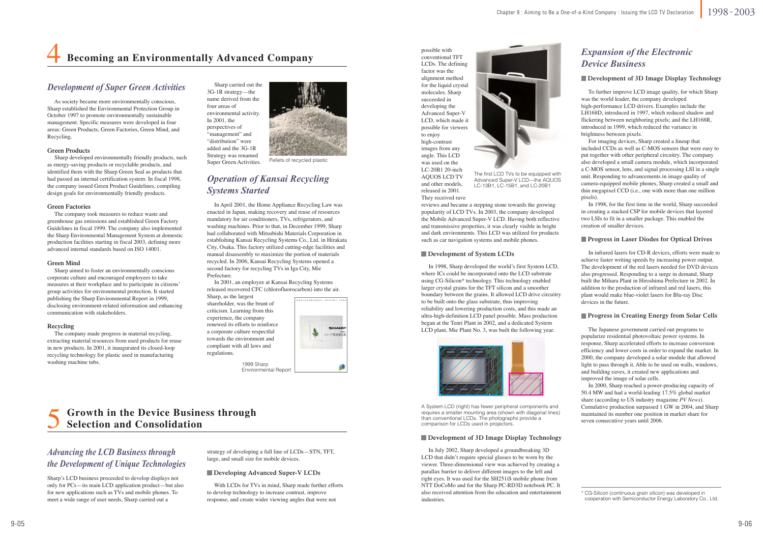As society became more environmentally conscious, Sharp established the Environmental Protection Group in October 1997 to promote environmentally sustainable management. Specific measures were developed in four areas: Green Products, Green Factories, Green Mind, and Recycling.

#### **Green Products**

 Sharp developed environmentally friendly products, such as energy-saving products or recyclable products, and identified them with the Sharp Green Seal as products that had passed an internal certification system. In fiscal 1998, the company issued Green Product Guidelines, compiling design goals for environmentally friendly products.

#### **Green Factories**

 The company took measures to reduce waste and greenhouse gas emissions and established Green Factory Guidelines in fiscal 1999. The company also implemented the Sharp Environmental Management System at domestic production facilities starting in fiscal 2003, defining more advanced internal standards based on ISO 14001.

#### **Green Mind**

 Sharp aimed to foster an environmentally conscious corporate culture and encouraged employees to take measures at their workplace and to participate in citizens' group activities for environmental protection. It started publishing the Sharp Environmental Report in 1999, disclosing environment-related information and enhancing communication with stakeholders.

#### **Recycling**

 The company made progress in material recycling, extracting material resources from used products for reuse in new products. In 2001, it inaugurated its closed-loop recycling technology for plastic used in manufacturing washing machine tubs.

### *Development of Super Green Activities*

 Sharp carried out the 3G-1R strategy—the name derived from the four areas of environmental activity. In 2001, the perspectives of "management" and "distribution" were added and the 3G-1R Strategy was renamed Super Green Activities. Pellets of recycled plastic



A System LCD (right) has fewer peripheral components and requires a smaller mounting area (shown with diagonal lines) than conventional LCDs. The photographs provide a comparison for LCDs used in projectors.

#### **Development of 3D Image Display Technology**

Sharp's LCD business proceeded to develop displays not only for PCs—its main LCD application product—but also for new applications such as TVs and mobile phones. To meet a wide range of user needs, Sharp carried out a

### 4**Becoming an Environmentally Advanced Company**

### *Operation of Kansai Recycling Systems Started*

### *Advancing the LCD Business through the Development of Unique Technologies*

 To further improve LCD image quality, for which Sharp was the world leader, the company developed high-performance LCD drivers. Examples include the LH168D, introduced in 1997, which reduced shadow and flickering between neighboring pixels; and the LH168R, introduced in 1999, which reduced the variance in brightness between pixels.

 For imaging devices, Sharp created a lineup that included CCDs as well as C-MOS sensors that were easy to put together with other peripheral circuitry. The company also developed a small camera module, which incorporated a C-MOS sensor, lens, and signal processing LSI in a single unit. Responding to advancements in image quality of camera-equipped mobile phones, Sharp created a small and thin megapixel CCD (i.e., one with more than one million pixels).

 In 1998, for the first time in the world, Sharp succeeded in creating a stacked CSP for mobile devices that layered two LSIs to fit in a smaller package. This enabled the creation of smaller devices.

#### **Progress in Laser Diodes for Optical Drives**

### *Expansion of the Electronic Device Business*

#### **Development of 3D Image Display Technology**

### 5**Growth in the Device Business through Selection and Consolidation**

1999 Sharp Environmental Report

 In April 2001, the Home Appliance Recycling Law was enacted in Japan, making recovery and reuse of resources mandatory for air conditioners, TVs, refrigerators, and washing machines. Prior to that, in December 1999, Sharp had collaborated with Mitsubishi Materials Corporation in establishing Kansai Recycling Systems Co., Ltd. in Hirakata City, Osaka. This factory utilized cutting-edge facilities and manual disassembly to maximize the portion of materials recycled. In 2006, Kansai Recycling Systems opened a second factory for recycling TVs in Iga City, Mie Prefecture.

 In 2001, an employee at Kansai Recycling Systems released recovered CFC (chlorofluorocarbon) into the air.

Sharp, as the largest shareholder, was the brunt of criticism. Learning from this experience, the company renewed its efforts to reinforce a corporate culture respectful towards the environment and compliant with all laws and regulations.



strategy of developing a full line of LCDs—STN, TFT, large, and small size for mobile devices.

 With LCDs for TVs in mind, Sharp made further efforts to develop technology to increase contrast, improve response, and create wider viewing angles that were not

#### **Developing Advanced Super-V LCDs**

 In 1998, Sharp developed the world's first System LCD, where ICs could be incorporated onto the LCD substrate using CG-Silicon\* technology. This technology enabled larger crystal grains for the TFT silicon and a smoother boundary between the grains. It allowed LCD drive circuitry to be built onto the glass substrate, thus improving reliability and lowering production costs, and this made an ultra-high-definition LCD panel possible. Mass production began at the Tenri Plant in 2002, and a dedicated System LCD plant, Mie Plant No. 3, was built the following year.



 In July 2002, Sharp developed a groundbreaking 3D LCD that didn't require special glasses to be worn by the viewer. Three-dimensional view was achieved by creating a parallax barrier to deliver different images to the left and right eyes. It was used for the SH251iS mobile phone from NTT DoCoMo and for the Sharp PC-RD3D notebook PC. It also received attention from the education and entertainment industries.

 In infrared lasers for CD-R devices, efforts were made to achieve faster writing speeds by increasing power output. The development of the red lasers needed for DVD devices also progressed. Responding to a surge in demand, Sharp built the Mihara Plant in Hiroshima Prefecture in 2002. In addition to the production of infrared and red lasers, this plant would make blue-violet lasers for Blu-ray Disc devices in the future.

#### **Progress in Creating Energy from Solar Cells**

 The Japanese government carried out programs to popularize residential photovoltaic power systems. In response, Sharp accelerated efforts to increase conversion efficiency and lower costs in order to expand the market. In 2000, the company developed a solar module that allowed light to pass through it. Able to be used on walls, windows, and building eaves, it created new applications and improved the image of solar cells.

 In 2000, Sharp reached a power-producing capacity of 50.4 MW and had a world-leading 17.5% global market share (according to US industry magazine *PV News*). Cumulative production surpassed 1 GW in 2004, and Sharp maintained its number one position in market share for seven consecutive years until 2006.

possible with conventional TFT LCDs. The defining factor was the alignment method for the liquid crystal molecules. Sharp succeeded in developing the Advanced Super-V LCD, which made it possible for viewers to enjoy high-contrast images from any angle. This LCD was used on the LC-20B1 20-inch AQUOS LCD TV and other models, released in 2001.

They received rave



reviews and became a stepping stone towards the growing popularity of LCD TVs. In 2003, the company developed the Mobile Advanced Super-V LCD. Having both reflective and transmissive properties, it was clearly visible in bright and dark environments. This LCD was utilized for products such as car navigation systems and mobile phones.

#### **Development of System LCDs**

\* CG-Silicon (continuous grain silicon) was developed in cooperation with Semiconductor Energy Laboratory Co., Ltd.

The first LCD TVs to be equipped with Advanced Super-V LCD—the AQUOS LC-13B1, LC-15B1, and LC-20B1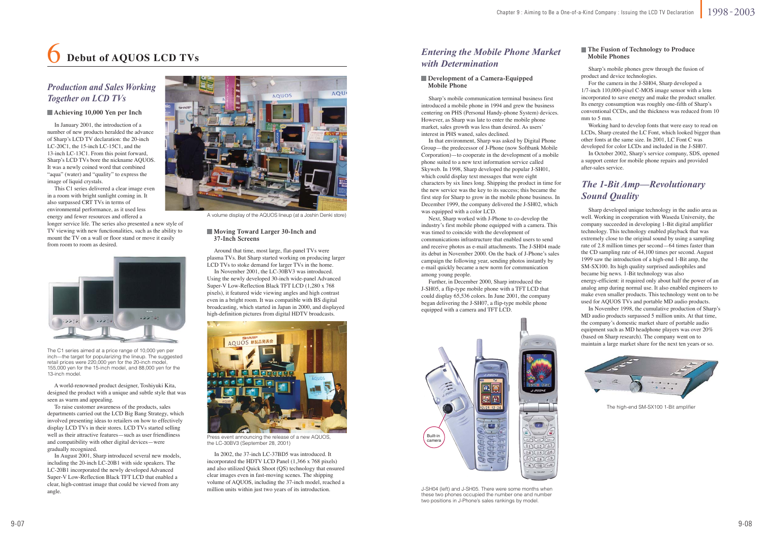

J-SH04 (left) and J-SH05. There were some months when these two phones occupied the number one and number two positions in J-Phone's sales rankings by model.



The high-end SM-SX100 1-Bit amplifier



The C1 series aimed at a price range of 10,000 yen per inch—the target for popularizing the lineup. The suggested retail prices were 220,000 yen for the 20-inch model, 155,000 yen for the 15-inch model, and 88,000 yen for the 13-inch model.



Press event announcing the release of a new AQUOS, the LC-30BV3 (September 28, 2001)

### 6**Debut of AQUOS LCD TVs**

### *Production and Sales Working Together on LCD TVs*

 Sharp's mobile phones grew through the fusion of product and device technologies.

 For the camera in the J-SH04, Sharp developed a 1/7-inch 110,000-pixel C-MOS image sensor with a lens incorporated to save energy and make the product smaller. Its energy consumption was roughly one-fifth of Sharp's conventional CCDs, and the thickness was reduced from 10 mm to 5 mm.

 Working hard to develop fonts that were easy to read on LCDs, Sharp created the LC Font, which looked bigger than other fonts at the same size. In 2001, LC Font C was developed for color LCDs and included in the J-SH07.

 In October 2002, Sharp's service company, SDS, opened a support center for mobile phone repairs and provided after-sales service.

 Sharp developed unique technology in the audio area as well. Working in cooperation with Waseda University, the company succeeded in developing 1-Bit digital amplifier technology. This technology enabled playback that was extremely close to the original sound by using a sampling rate of 2.8 million times per second—64 times faster than the CD sampling rate of 44,100 times per second. August 1999 saw the introduction of a high-end 1-Bit amp, the SM-SX100. Its high quality surprised audiophiles and became big news. 1-Bit technology was also energy-efficient: it required only about half the power of an analog amp during normal use. It also enabled engineers to make even smaller products. This technology went on to be used for AQUOS TVs and portable MD audio products.

#### **The Fusion of Technology to Produce Mobile Phones**

 In November 1998, the cumulative production of Sharp's MD audio products surpassed 5 million units. At that time, the company's domestic market share of portable audio equipment such as MD headphone players was over 20% (based on Sharp research). The company went on to maintain a large market share for the next ten years or so.



A volume display of the AQUOS lineup (at a Joshin Denki store)

 Around that time, most large, flat-panel TVs were plasma TVs. But Sharp started working on producing larger LCD TVs to stoke demand for larger TVs in the home.

 In November 2001, the LC-30BV3 was introduced. Using the newly developed 30-inch wide-panel Advanced Super-V Low-Reflection Black TFT LCD (1,280 x 768 pixels), it featured wide viewing angles and high contrast even in a bright room. It was compatible with BS digital broadcasting, which started in Japan in 2000, and displayed high-definition pictures from digital HDTV broadcasts.

#### **Development of a Camera-Equipped Mobile Phone**

 In 2002, the 37-inch LC-37BD5 was introduced. It incorporated the HDTV LCD Panel (1,366 x 768 pixels) and also utilized Quick Shoot (QS) technology that ensured clear images even in fast-moving scenes. The shipping volume of AQUOS, including the 37-inch model, reached a million units within just two years of its introduction.

 In January 2001, the introduction of a number of new products heralded the advance of Sharp's LCD TV declaration: the 20-inch LC-20C1, the 15-inch LC-15C1, and the 13-inch LC-13C1. From this point forward, Sharp's LCD TVs bore the nickname AQUOS. It was a newly coined word that combined "aqua" (water) and "quality" to express the image of liquid crystals.

 This C1 series delivered a clear image even in a room with bright sunlight coming in. It also surpassed CRT TVs in terms of environmental performance, as it used less energy and fewer resources and offered a

longer service life. The series also presented a new style of TV viewing with new functionalities, such as the ability to mount the TV on a wall or floor stand or move it easily from room to room as desired.

#### **Achieving 10,000 Yen per Inch**

 Sharp's mobile communication terminal business first introduced a mobile phone in 1994 and grew the business centering on PHS (Personal Handy-phone System) devices. However, as Sharp was late to enter the mobile phone market, sales growth was less than desired. As users' interest in PHS waned, sales declined.

 In that environment, Sharp was asked by Digital Phone Group—the predecessor of J-Phone (now Softbank Mobile Corporation)—to cooperate in the development of a mobile phone suited to a new text information service called Skyweb. In 1998, Sharp developed the popular J-SH01, which could display text messages that were eight characters by six lines long. Shipping the product in time for the new service was the key to its success; this became the first step for Sharp to grow in the mobile phone business. In December 1999, the company delivered the J-SH02, which was equipped with a color LCD.

 Next, Sharp worked with J-Phone to co-develop the industry's first mobile phone equipped with a camera. This was timed to coincide with the development of communications infrastructure that enabled users to send and receive photos as e-mail attachments. The J-SH04 made its debut in November 2000. On the back of J-Phone's sales campaign the following year, sending photos instantly by e-mail quickly became a new norm for communication among young people.

 Further, in December 2000, Sharp introduced the J-SH05, a flip-type mobile phone with a TFT LCD that could display 65,536 colors. In June 2001, the company began delivering the J-SH07, a flip-type mobile phone equipped with a camera and TFT LCD.

### *Entering the Mobile Phone Market with Determination*

### *The 1-Bit Amp—Revolutionary Sound Quality*

 A world-renowned product designer, Toshiyuki Kita, designed the product with a unique and subtle style that was seen as warm and appealing.

 To raise customer awareness of the products, sales departments carried out the LCD Big Bang Strategy, which involved presenting ideas to retailers on how to effectively display LCD TVs in their stores. LCD TVs started selling well as their attractive features—such as user friendliness and compatibility with other digital devices—were gradually recognized.

 In August 2001, Sharp introduced several new models, including the 20-inch LC-20B1 with side speakers. The LC-20B1 incorporated the newly developed Advanced Super-V Low-Reflection Black TFT LCD that enabled a clear, high-contrast image that could be viewed from any angle.

#### **Moving Toward Larger 30-Inch and 37-Inch Screens**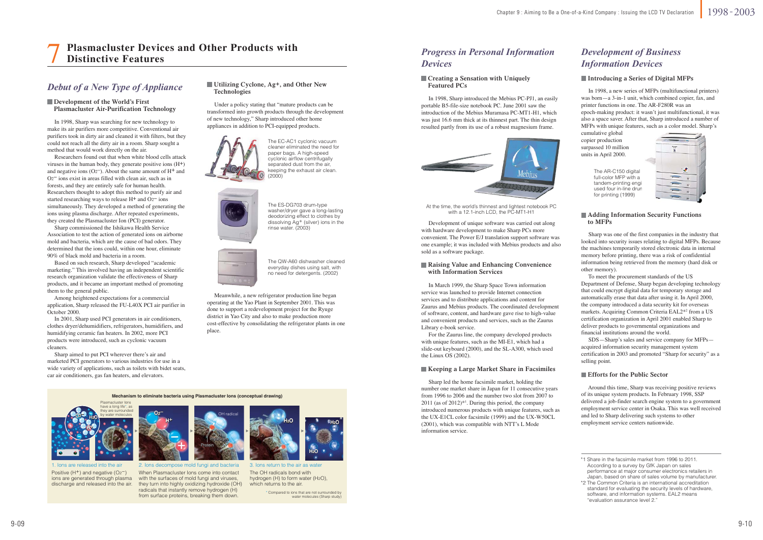At the time, the world's thinnest and lightest notebook PC with a 12.1-inch LCD, the PC-MT1-H1

The AR-C150 digital full-color MFP with a tandem-printing engi used four in-line drun for printing (1999)

### *Debut of a New Type of Appliance*

#### **Development of the World's First Plasmacluster Air-Purification Technology**

#### **Creating a Sensation with Uniquely Featured PCs**

 In 1998, Sharp introduced the Mebius PC-PJ1, an easily portable B5-file-size notebook PC. June 2001 saw the introduction of the Mebius Muramasa PC-MT1-H1, which was just 16.6 mm thick at its thinnest part. The thin design resulted partly from its use of a robust magnesium frame.



### *Progress in Personal Information Devices*

### *Development of Business Information Devices*

#### **Introducing a Series of Digital MFPs**

 Sharp was one of the first companies in the industry that looked into security issues relating to digital MFPs. Because the machines temporarily stored electronic data in internal memory before printing, there was a risk of confidential information being retrieved from the memory (hard disk or other memory).

 To meet the procurement standards of the US Department of Defense, Sharp began developing technology that could encrypt digital data for temporary storage and automatically erase that data after using it. In April 2000, the company introduced a data security kit for overseas markets. Acquiring Common Criteria EAL2\*2 from a US certification organization in April 2001 enabled Sharp to deliver products to governmental organizations and financial institutions around the world.

 SDS—Sharp's sales and service company for MFPs acquired information security management system certification in 2003 and promoted "Sharp for security" as a selling point.

#### **Efforts for the Public Sector**

#### **Adding Information Security Functions to MFPs**

 Around this time, Sharp was receiving positive reviews of its unique system products. In February 1998, SSP delivered a job-finder search engine system to a government employment service center in Osaka. This was well received and led to Sharp delivering such systems to other employment service centers nationwide.

 In March 1999, the Sharp Space Town information service was launched to provide Internet connection services and to distribute applications and content for Zaurus and Mebius products. The coordinated development of software, content, and hardware gave rise to high-value and convenient products and services, such as the Zaurus Library e-book service.

 For the Zaurus line, the company developed products with unique features, such as the MI-E1, which had a slide-out keyboard (2000), and the SL-A300, which used the Linux OS (2002).

#### **Raising Value and Enhancing Convenience with Information Services**

 Sharp led the home facsimile market, holding the number one market share in Japan for 11 consecutive years from 1996 to 2006 and the number two slot from 2007 to  $2011$  (as of  $2012$ )<sup>\*1</sup>. During this period, the company introduced numerous products with unique features, such as the UX-E1CL color facsimile (1999) and the UX-W50CL (2001), which was compatible with NTT's L Mode information service.

#### **Keeping a Large Market Share in Facsimiles**

\* Compared to ions that are not surrounded by water molecules (Sharp study)

 In 1998, Sharp was searching for new technology to make its air purifiers more competitive. Conventional air purifiers took in dirty air and cleaned it with filters, but they could not reach all the dirty air in a room. Sharp sought a method that would work directly on the air.

 Researchers found out that when white blood cells attack viruses in the human body, they generate positive ions  $(H<sup>+</sup>)$ and negative ions (O<sub>2</sub>–). About the same amount of  $H^+$  and O2− ions exist in areas filled with clean air, such as in forests, and they are entirely safe for human health. Researchers thought to adopt this method to purify air and started researching ways to release H+ and O2− ions simultaneously. They developed a method of generating the ions using plasma discharge. After repeated experiments, they created the Plasmacluster Ion (PCI) generator.

 Sharp commissioned the Ishikawa Health Service Association to test the action of generated ions on airborne mold and bacteria, which are the cause of bad odors. They determined that the ions could, within one hour, eliminate 90% of black mold and bacteria in a room.

 Based on such research, Sharp developed "academic marketing." This involved having an independent scientific research organization validate the effectiveness of Sharp products, and it became an important method of promoting them to the general public.

 Among heightened expectations for a commercial application, Sharp released the FU-L40X PCI air purifier in October 2000.

 In 2001, Sharp used PCI generators in air conditioners, clothes dryer/dehumidifiers, refrigerators, humidifiers, and humidifying ceramic fan heaters. In 2002, more PCI products were introduced, such as cyclonic vacuum cleaners.

 Sharp aimed to put PCI wherever there's air and marketed PCI generators to various industries for use in a wide variety of applications, such as toilets with bidet seats, car air conditioners, gas fan heaters, and elevators.

#### **Utilizing Cyclone, Ag+, and Other New Technologies**

#### 7**Plasmacluster Devices and Other Products withDistinctive Features**

 Meanwhile, a new refrigerator production line began operating at the Yao Plant in September 2001. This was done to support a redevelopment project for the Ryuge district in Yao City and also to make production more cost-effective by consolidating the refrigerator plants in one place.

 Under a policy stating that "mature products can be transformed into growth products through the development of new technology," Sharp introduced other home appliances in addition to PCI-equipped products.





3. Ions return to the air as waterThe OH radicals bond with hydrogen (H) to form water (H2O), which returns to the air.

The EC-AC1 cyclonic vacuum cleaner eliminated the need for paper bags. A high-speed cyclonic airflow centrifugally separated dust from the air, keeping the exhaust air clean. (2000)



**H+ O2-** H<sub>2</sub>O<sub>1</sub> 2 2 2 H<sup>+</sup> 2 2 2 2 H<sup>+</sup> H<sub>2</sub> **H+ O2- Mechanism to eliminate bacteria using Plasmacluster Ions (conceptual drawing)** Plasmacluster Ions have a long life\*, as they are surrounded by water molecules

1. Ions are released into the airPositive (H<sup>+</sup>) and negative (O<sub>2</sub><sup>-</sup>) ions are generated through plasma discharge and released into the air.



2. Ions decompose mold fungi and bacteria When Plasmacluster Ions come into contact with the surfaces of mold fungi and viruses, they turn into highly oxidizing hydroxide (OH) radicals that instantly remove hydrogen (H) from surface proteins, breaking them down.

The ES-DG703 drum-type washer/dryer gave a long-lasting deodorizing effect to clothes by dissolving Ag+ (silver) ions in the rinse water. (2003)



The QW-A60 dishwasher cleaned everyday dishes using salt, with no need for detergents. (2002)

 Development of unique software was carried out along with hardware development to make Sharp PCs more convenient. The Power E/J translation support software was one example; it was included with Mebius products and also sold as a software package.

 In 1998, a new series of MFPs (multifunctional printers) was born—a 3-in-1 unit, which combined copier, fax, and printer functions in one. The AR-F280R was an epoch-making product: it wasn't just multifunctional, it was also a space saver. After that, Sharp introduced a number of MFPs with unique features, such as a color model. Sharp's cumulative global

copier production surpassed 10 million units in April 2000.



<sup>\*1</sup> Share in the facsimile market from 1996 to 2011. According to a survey by GfK Japan on sales performance at major consumer electronics retailers in Japan, based on share of sales volume by manufacturer.

<sup>\*2</sup> The Common Criteria is an international accreditation standard for evaluating the security levels of hardware, software, and information systems. EAL2 means "evaluation assurance level 2."